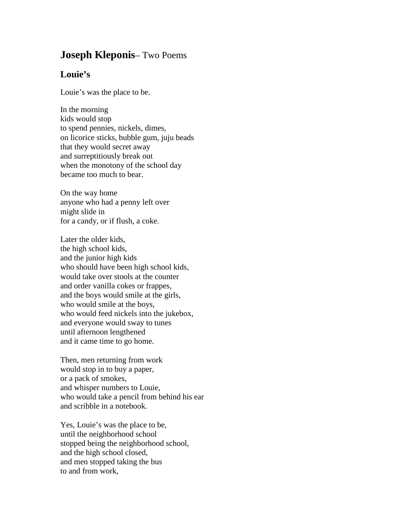## **Joseph Kleponis**– Two Poems

## **Louie's**

Louie's was the place to be.

In the morning kids would stop to spend pennies, nickels, dimes, on licorice sticks, bubble gum, juju beads that they would secret away and surreptitiously break out when the monotony of the school day became too much to bear.

On the way home anyone who had a penny left over might slide in for a candy, or if flush, a coke.

Later the older kids, the high school kids, and the junior high kids who should have been high school kids, would take over stools at the counter and order vanilla cokes or frappes, and the boys would smile at the girls, who would smile at the boys, who would feed nickels into the jukebox, and everyone would sway to tunes until afternoon lengthened and it came time to go home.

Then, men returning from work would stop in to buy a paper, or a pack of smokes, and whisper numbers to Louie, who would take a pencil from behind his ear and scribble in a notebook.

Yes, Louie's was the place to be, until the neighborhood school stopped being the neighborhood school, and the high school closed, and men stopped taking the bus to and from work,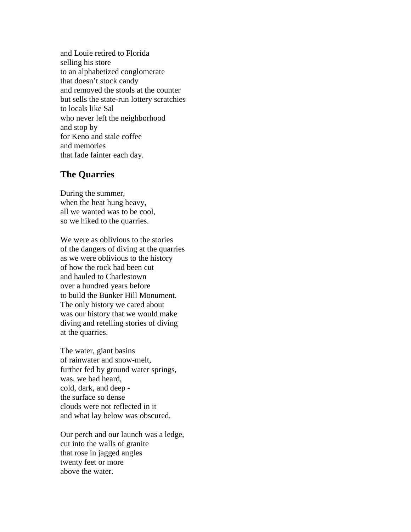and Louie retired to Florida selling his store to an alphabetized conglomerate that doesn't stock candy and removed the stools at the counter but sells the state-run lottery scratchies to locals like Sal who never left the neighborhood and stop by for Keno and stale coffee and memories that fade fainter each day.

## **The Quarries**

During the summer, when the heat hung heavy, all we wanted was to be cool, so we hiked to the quarries.

We were as oblivious to the stories of the dangers of diving at the quarries as we were oblivious to the history of how the rock had been cut and hauled to Charlestown over a hundred years before to build the Bunker Hill Monument. The only history we cared about was our history that we would make diving and retelling stories of diving at the quarries.

The water, giant basins of rainwater and snow-melt, further fed by ground water springs, was, we had heard, cold, dark, and deep the surface so dense clouds were not reflected in it and what lay below was obscured.

Our perch and our launch was a ledge, cut into the walls of granite that rose in jagged angles twenty feet or more above the water.